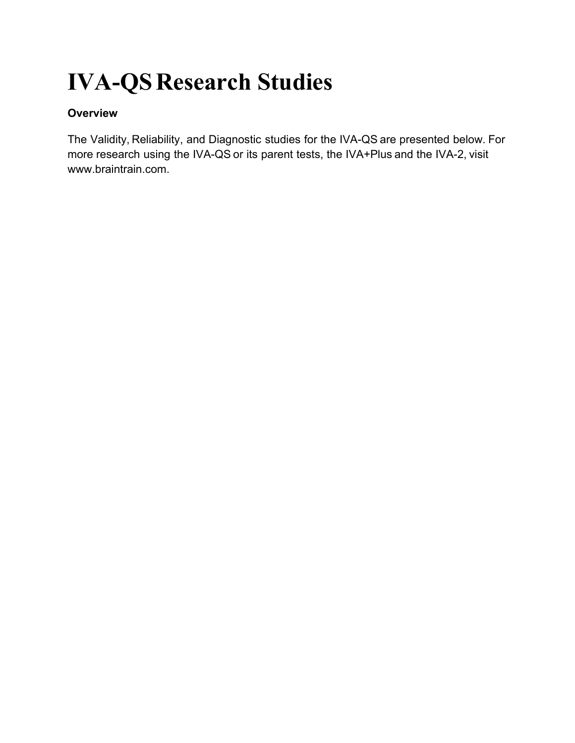# **IVA-QSResearch Studies**

# **Overview**

The Validity, Reliability, and Diagnostic studies for the IVA-QS are presented below. For more research using the IVA-QS or its parent tests, the IVA+Plus and the IVA-2, visit www.braintrain.com.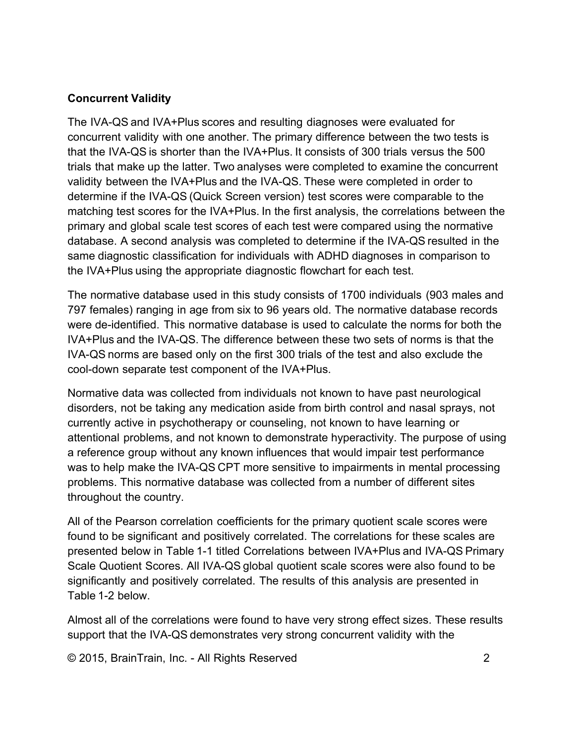#### **Concurrent Validity**

The IVA-QS and IVA+Plus scores and resulting diagnoses were evaluated for concurrent validity with one another. The primary difference between the two tests is that the IVA-QS is shorter than the IVA+Plus. It consists of 300 trials versus the 500 trials that make up the latter. Two analyses were completed to examine the concurrent validity between the IVA+Plus and the IVA-QS. These were completed in order to determine if the IVA-QS (Quick Screen version) test scores were comparable to the matching test scores for the IVA+Plus. In the first analysis, the correlations between the primary and global scale test scores of each test were compared using the normative database. A second analysis was completed to determine if the IVA-QS resulted in the same diagnostic classification for individuals with ADHD diagnoses in comparison to the IVA+Plus using the appropriate diagnostic flowchart for each test.

The normative database used in this study consists of 1700 individuals (903 males and 797 females) ranging in age from six to 96 years old. The normative database records were de-identified. This normative database is used to calculate the norms for both the IVA+Plus and the IVA-QS. The difference between these two sets of norms is that the IVA-QS norms are based only on the first 300 trials of the test and also exclude the cool-down separate test component of the IVA+Plus.

Normative data was collected from individuals not known to have past neurological disorders, not be taking any medication aside from birth control and nasal sprays, not currently active in psychotherapy or counseling, not known to have learning or attentional problems, and not known to demonstrate hyperactivity. The purpose of using a reference group without any known influences that would impair test performance was to help make the IVA-QS CPT more sensitive to impairments in mental processing problems. This normative database was collected from a number of different sites throughout the country.

All of the Pearson correlation coefficients for the primary quotient scale scores were found to be significant and positively correlated. The correlations for these scales are presented below in Table 1-1 titled Correlations between IVA+Plus and IVA-QS Primary Scale Quotient Scores. All IVA-QS global quotient scale scores were also found to be significantly and positively correlated. The results of this analysis are presented in Table 1-2 below.

Almost all of the correlations were found to have very strong effect sizes. These results support that the IVA-QS demonstrates very strong concurrent validity with the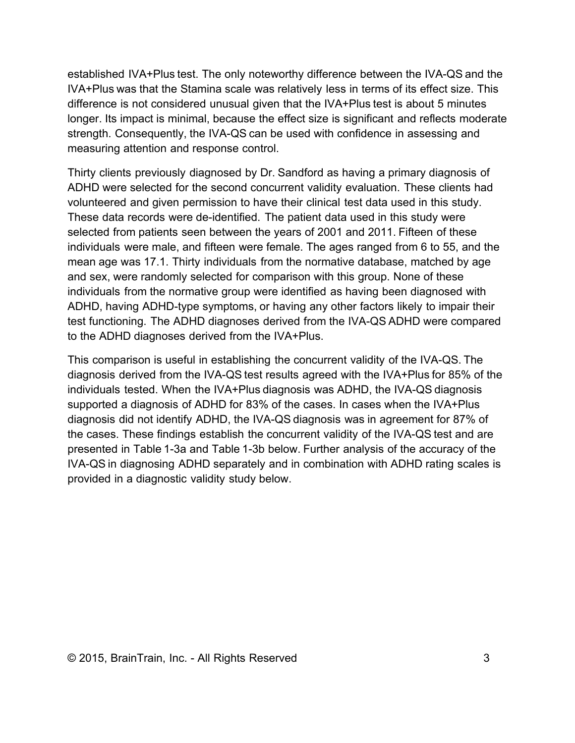established IVA+Plus test. The only noteworthy difference between the IVA-QS and the IVA+Plus was that the Stamina scale was relatively less in terms of its effect size. This difference is not considered unusual given that the IVA+Plus test is about 5 minutes longer. Its impact is minimal, because the effect size is significant and reflects moderate strength. Consequently, the IVA-QS can be used with confidence in assessing and measuring attention and response control.

Thirty clients previously diagnosed by Dr. Sandford as having a primary diagnosis of ADHD were selected for the second concurrent validity evaluation. These clients had volunteered and given permission to have their clinical test data used in this study. These data records were de-identified. The patient data used in this study were selected from patients seen between the years of 2001 and 2011. Fifteen of these individuals were male, and fifteen were female. The ages ranged from 6 to 55, and the mean age was 17.1. Thirty individuals from the normative database, matched by age and sex, were randomly selected for comparison with this group. None of these individuals from the normative group were identified as having been diagnosed with ADHD, having ADHD-type symptoms, or having any other factors likely to impair their test functioning. The ADHD diagnoses derived from the IVA-QS ADHD were compared to the ADHD diagnoses derived from the IVA+Plus.

This comparison is useful in establishing the concurrent validity of the IVA-QS. The diagnosis derived from the IVA-QS test results agreed with the IVA+Plus for 85% of the individuals tested. When the IVA+Plus diagnosis was ADHD, the IVA-QS diagnosis supported a diagnosis of ADHD for 83% of the cases. In cases when the IVA+Plus diagnosis did not identify ADHD, the IVA-QS diagnosis was in agreement for 87% of the cases. These findings establish the concurrent validity of the IVA-QS test and are presented in Table 1-3a and Table 1-3b below. Further analysis of the accuracy of the IVA-QS in diagnosing ADHD separately and in combination with ADHD rating scales is provided in a diagnostic validity study below.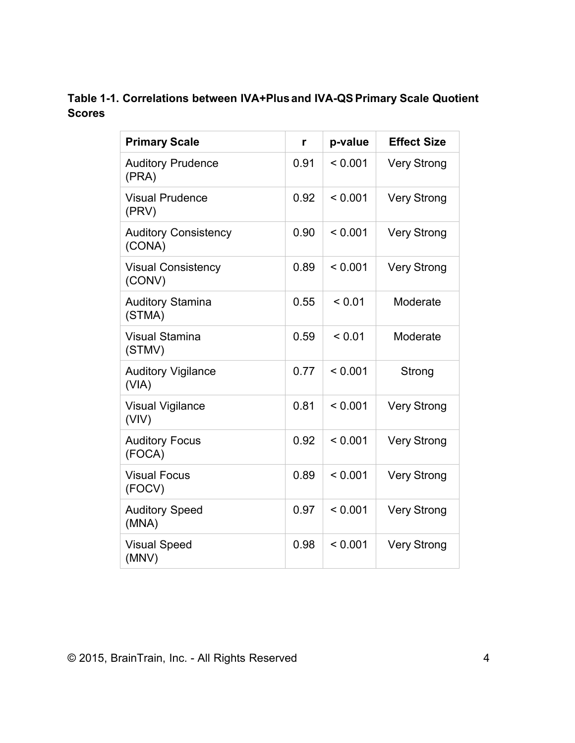# **Table 1-1. Correlations between IVA+Plus and IVA-QSPrimary Scale Quotient Scores**

| <b>Primary Scale</b>                  | r    | p-value | <b>Effect Size</b> |
|---------------------------------------|------|---------|--------------------|
| <b>Auditory Prudence</b><br>(PRA)     | 0.91 | < 0.001 | <b>Very Strong</b> |
| <b>Visual Prudence</b><br>(PRV)       | 0.92 | < 0.001 | <b>Very Strong</b> |
| <b>Auditory Consistency</b><br>(CONA) | 0.90 | < 0.001 | <b>Very Strong</b> |
| <b>Visual Consistency</b><br>(CONV)   | 0.89 | < 0.001 | <b>Very Strong</b> |
| <b>Auditory Stamina</b><br>(STMA)     | 0.55 | < 0.01  | Moderate           |
| <b>Visual Stamina</b><br>(STMV)       | 0.59 | < 0.01  | Moderate           |
| <b>Auditory Vigilance</b><br>(VIA)    | 0.77 | < 0.001 | Strong             |
| <b>Visual Vigilance</b><br>(VIV)      | 0.81 | < 0.001 | <b>Very Strong</b> |
| <b>Auditory Focus</b><br>(FOCA)       | 0.92 | < 0.001 | <b>Very Strong</b> |
| <b>Visual Focus</b><br>(FOCV)         | 0.89 | < 0.001 | <b>Very Strong</b> |
| <b>Auditory Speed</b><br>(MNA)        | 0.97 | < 0.001 | <b>Very Strong</b> |
| <b>Visual Speed</b><br>(MNV)          | 0.98 | < 0.001 | <b>Very Strong</b> |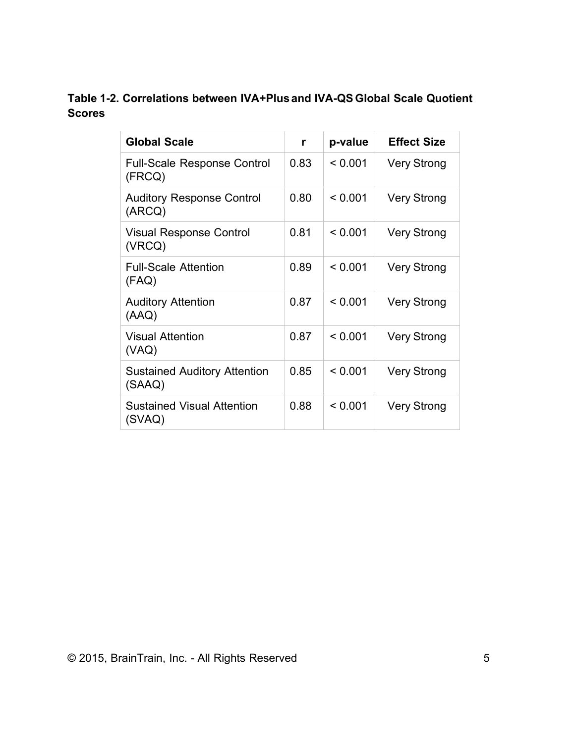# **Table 1-2. Correlations between IVA+Plus and IVA-QS Global Scale Quotient Scores**

| <b>Global Scale</b>                           | r    | p-value | <b>Effect Size</b> |
|-----------------------------------------------|------|---------|--------------------|
| <b>Full-Scale Response Control</b><br>(FRCQ)  | 0.83 | < 0.001 | <b>Very Strong</b> |
| <b>Auditory Response Control</b><br>(ARCQ)    | 0.80 | < 0.001 | <b>Very Strong</b> |
| <b>Visual Response Control</b><br>(VRCQ)      | 0.81 | < 0.001 | <b>Very Strong</b> |
| <b>Full-Scale Attention</b><br>(FAQ)          | 0.89 | < 0.001 | <b>Very Strong</b> |
| <b>Auditory Attention</b><br>(AAQ)            | 0.87 | < 0.001 | <b>Very Strong</b> |
| <b>Visual Attention</b><br>(VAQ)              | 0.87 | < 0.001 | <b>Very Strong</b> |
| <b>Sustained Auditory Attention</b><br>(SAAQ) | 0.85 | < 0.001 | <b>Very Strong</b> |
| <b>Sustained Visual Attention</b><br>(SVAQ)   | 0.88 | < 0.001 | <b>Very Strong</b> |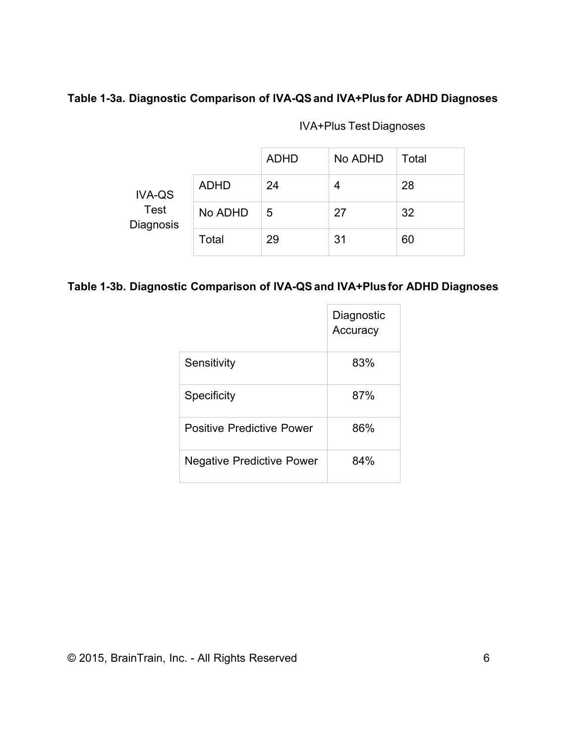#### **Table 1-3a. Diagnostic Comparison of IVA-QSand IVA+Plus for ADHD Diagnoses**

|                                           |             | <b>ADHD</b> | No ADHD | Total |
|-------------------------------------------|-------------|-------------|---------|-------|
| <b>IVA-QS</b><br><b>Test</b><br>Diagnosis | <b>ADHD</b> | 24          | 4       | 28    |
|                                           | No ADHD     | 5           | 27      | 32    |
|                                           | Total       | 29          | 31      | 60    |

# IVA+Plus Test Diagnoses

### **Table 1-3b. Diagnostic Comparison of IVA-QSand IVA+Plus for ADHD Diagnoses**

|                                  | Diagnostic<br>Accuracy |
|----------------------------------|------------------------|
| Sensitivity                      | 83%                    |
| <b>Specificity</b>               | 87%                    |
| <b>Positive Predictive Power</b> | 86%                    |
| <b>Negative Predictive Power</b> | 84%                    |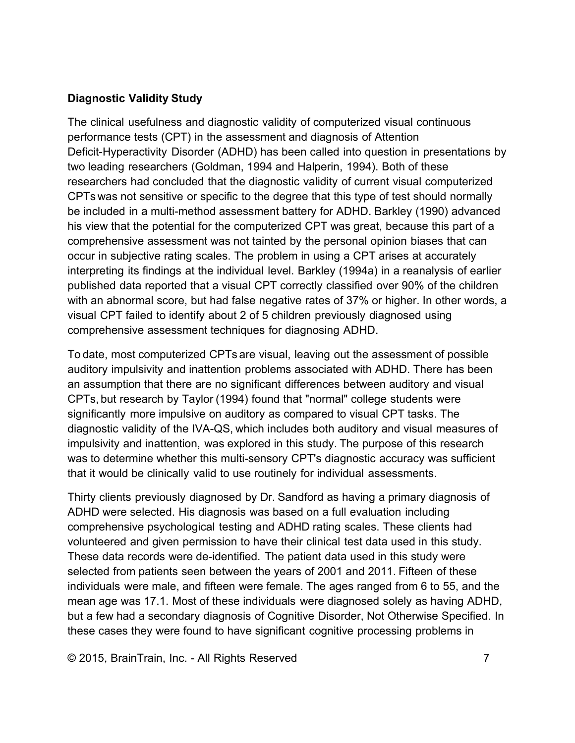#### **Diagnostic Validity Study**

The clinical usefulness and diagnostic validity of computerized visual continuous performance tests (CPT) in the assessment and diagnosis of Attention Deficit-Hyperactivity Disorder (ADHD) has been called into question in presentations by two leading researchers (Goldman, 1994 and Halperin, 1994). Both of these researchers had concluded that the diagnostic validity of current visual computerized CPTs was not sensitive or specific to the degree that this type of test should normally be included in a multi-method assessment battery for ADHD. Barkley (1990) advanced his view that the potential for the computerized CPT was great, because this part of a comprehensive assessment was not tainted by the personal opinion biases that can occur in subjective rating scales. The problem in using a CPT arises at accurately interpreting its findings at the individual level. Barkley (1994a) in a reanalysis of earlier published data reported that a visual CPT correctly classified over 90% of the children with an abnormal score, but had false negative rates of 37% or higher. In other words, a visual CPT failed to identify about 2 of 5 children previously diagnosed using comprehensive assessment techniques for diagnosing ADHD.

To date, most computerized CPTs are visual, leaving out the assessment of possible auditory impulsivity and inattention problems associated with ADHD. There has been an assumption that there are no significant differences between auditory and visual CPTs, but research by Taylor (1994) found that "normal" college students were significantly more impulsive on auditory as compared to visual CPT tasks. The diagnostic validity of the IVA-QS, which includes both auditory and visual measures of impulsivity and inattention, was explored in this study. The purpose of this research was to determine whether this multi-sensory CPT's diagnostic accuracy was sufficient that it would be clinically valid to use routinely for individual assessments.

Thirty clients previously diagnosed by Dr. Sandford as having a primary diagnosis of ADHD were selected. His diagnosis was based on a full evaluation including comprehensive psychological testing and ADHD rating scales. These clients had volunteered and given permission to have their clinical test data used in this study. These data records were de-identified. The patient data used in this study were selected from patients seen between the years of 2001 and 2011. Fifteen of these individuals were male, and fifteen were female. The ages ranged from 6 to 55, and the mean age was 17.1. Most of these individuals were diagnosed solely as having ADHD, but a few had a secondary diagnosis of Cognitive Disorder, Not Otherwise Specified. In these cases they were found to have significant cognitive processing problems in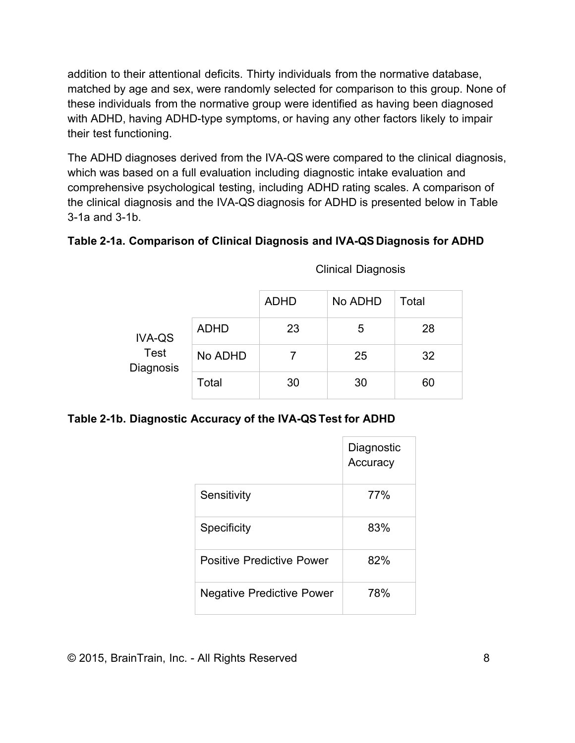addition to their attentional deficits. Thirty individuals from the normative database, matched by age and sex, were randomly selected for comparison to this group. None of these individuals from the normative group were identified as having been diagnosed with ADHD, having ADHD-type symptoms, or having any other factors likely to impair their test functioning.

The ADHD diagnoses derived from the IVA-QS were compared to the clinical diagnosis, which was based on a full evaluation including diagnostic intake evaluation and comprehensive psychological testing, including ADHD rating scales. A comparison of the clinical diagnosis and the IVA-QS diagnosis for ADHD is presented below in Table 3-1a and 3-1b.

# **Table 2-1a. Comparison of Clinical Diagnosis and IVA-QS Diagnosis for ADHD**

|                                           |             | <b>ADHD</b> | No ADHD | Total |
|-------------------------------------------|-------------|-------------|---------|-------|
| <b>IVA-QS</b><br><b>Test</b><br>Diagnosis | <b>ADHD</b> | 23          | 5       | 28    |
|                                           | No ADHD     |             | 25      | 32    |
|                                           | Total       | 30          | 30      | 60    |

Clinical Diagnosis

#### **Table 2-1b. Diagnostic Accuracy of the IVA-QSTest for ADHD**

|                                  | Diagnostic<br>Accuracy |
|----------------------------------|------------------------|
| Sensitivity                      | 77%                    |
| Specificity                      | 83%                    |
| <b>Positive Predictive Power</b> | 82%                    |
| <b>Negative Predictive Power</b> | 78%                    |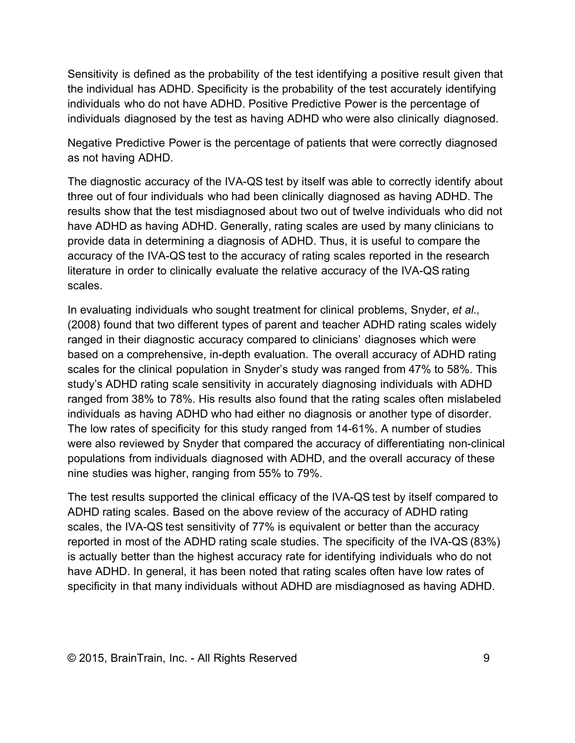Sensitivity is defined as the probability of the test identifying a positive result given that the individual has ADHD. Specificity is the probability of the test accurately identifying individuals who do not have ADHD. Positive Predictive Power is the percentage of individuals diagnosed by the test as having ADHD who were also clinically diagnosed.

Negative Predictive Power is the percentage of patients that were correctly diagnosed as not having ADHD.

The diagnostic accuracy of the IVA-QS test by itself was able to correctly identify about three out of four individuals who had been clinically diagnosed as having ADHD. The results show that the test misdiagnosed about two out of twelve individuals who did not have ADHD as having ADHD. Generally, rating scales are used by many clinicians to provide data in determining a diagnosis of ADHD. Thus, it is useful to compare the accuracy of the IVA-QS test to the accuracy of rating scales reported in the research literature in order to clinically evaluate the relative accuracy of the IVA-QS rating scales.

In evaluating individuals who sought treatment for clinical problems, Snyder, *et al.,* (2008) found that two different types of parent and teacher ADHD rating scales widely ranged in their diagnostic accuracy compared to clinicians' diagnoses which were based on a comprehensive, in-depth evaluation. The overall accuracy of ADHD rating scales for the clinical population in Snyder's study was ranged from 47% to 58%. This study's ADHD rating scale sensitivity in accurately diagnosing individuals with ADHD ranged from 38% to 78%. His results also found that the rating scales often mislabeled individuals as having ADHD who had either no diagnosis or another type of disorder. The low rates of specificity for this study ranged from 14-61%. A number of studies were also reviewed by Snyder that compared the accuracy of differentiating non-clinical populations from individuals diagnosed with ADHD, and the overall accuracy of these nine studies was higher, ranging from 55% to 79%.

The test results supported the clinical efficacy of the IVA-QS test by itself compared to ADHD rating scales. Based on the above review of the accuracy of ADHD rating scales, the IVA-QS test sensitivity of 77% is equivalent or better than the accuracy reported in most of the ADHD rating scale studies. The specificity of the IVA-QS (83%) is actually better than the highest accuracy rate for identifying individuals who do not have ADHD. In general, it has been noted that rating scales often have low rates of specificity in that many individuals without ADHD are misdiagnosed as having ADHD.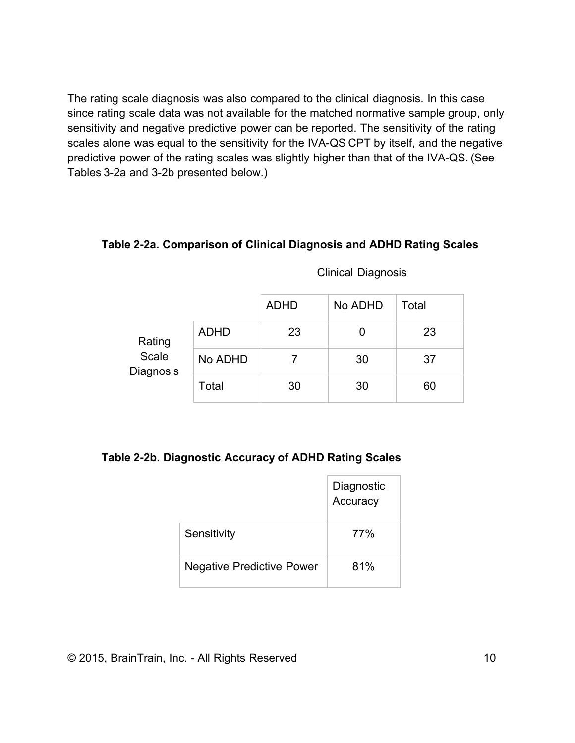The rating scale diagnosis was also compared to the clinical diagnosis. In this case since rating scale data was not available for the matched normative sample group, only sensitivity and negative predictive power can be reported. The sensitivity of the rating scales alone was equal to the sensitivity for the IVA-QS CPT by itself, and the negative predictive power of the rating scales was slightly higher than that of the IVA-QS. (See Tables 3-2a and 3-2b presented below.)

#### **Table 2-2a. Comparison of Clinical Diagnosis and ADHD Rating Scales**

|                              |             | <b>ADHD</b> | No ADHD | Total |
|------------------------------|-------------|-------------|---------|-------|
| Rating<br>Scale<br>Diagnosis | <b>ADHD</b> | 23          |         | 23    |
|                              | No ADHD     |             | 30      | 37    |
|                              | Total       | 30          | 30      | 60    |

#### Clinical Diagnosis

#### **Table 2-2b. Diagnostic Accuracy of ADHD Rating Scales**

|                                  | Diagnostic<br>Accuracy |
|----------------------------------|------------------------|
| Sensitivity                      | 77%                    |
| <b>Negative Predictive Power</b> | 81%                    |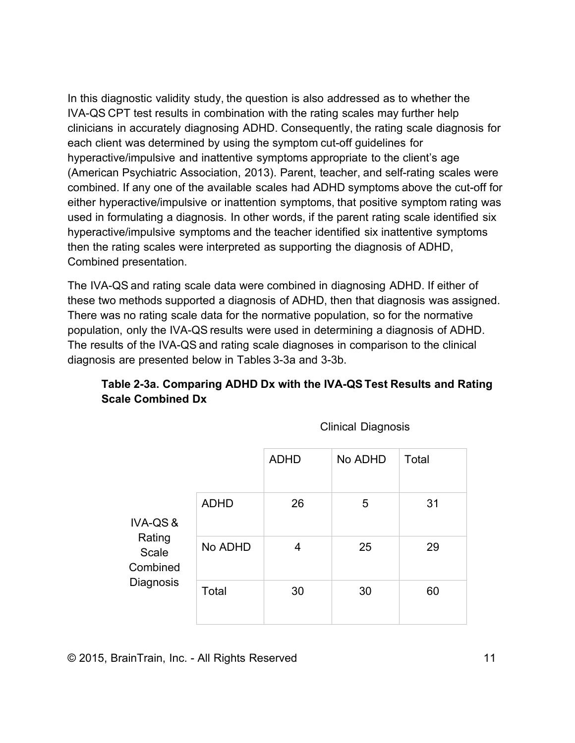In this diagnostic validity study, the question is also addressed as to whether the IVA-QS CPT test results in combination with the rating scales may further help clinicians in accurately diagnosing ADHD. Consequently, the rating scale diagnosis for each client was determined by using the symptom cut-off guidelines for hyperactive/impulsive and inattentive symptoms appropriate to the client's age (American Psychiatric Association, 2013). Parent, teacher, and self-rating scales were combined. If any one of the available scales had ADHD symptoms above the cut-off for either hyperactive/impulsive or inattention symptoms, that positive symptom rating was used in formulating a diagnosis. In other words, if the parent rating scale identified six hyperactive/impulsive symptoms and the teacher identified six inattentive symptoms then the rating scales were interpreted as supporting the diagnosis of ADHD, Combined presentation.

The IVA-QS and rating scale data were combined in diagnosing ADHD. If either of these two methods supported a diagnosis of ADHD, then that diagnosis was assigned. There was no rating scale data for the normative population, so for the normative population, only the IVA-QS results were used in determining a diagnosis of ADHD. The results of the IVA-QS and rating scale diagnoses in comparison to the clinical diagnosis are presented below in Tables 3-3a and 3-3b.

# **Table 2-3a. Comparing ADHD Dx with the IVA-QSTest Results and Rating Scale Combined Dx**

|                                                                |             | <b>ADHD</b> | No ADHD | Total |
|----------------------------------------------------------------|-------------|-------------|---------|-------|
| <b>IVA-QS&amp;</b><br>Rating<br>Scale<br>Combined<br>Diagnosis | <b>ADHD</b> | 26          | 5       | 31    |
|                                                                | No ADHD     | 4           | 25      | 29    |
|                                                                | Total       | 30          | 30      | 60    |

Clinical Diagnosis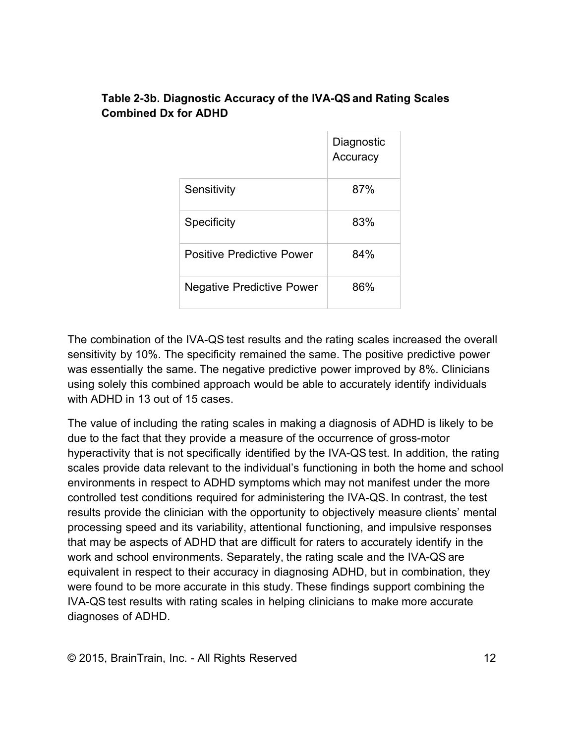# **Table 2-3b. Diagnostic Accuracy of the IVA-QSand Rating Scales Combined Dx for ADHD**

|                                  | Diagnostic<br>Accuracy |
|----------------------------------|------------------------|
| Sensitivity                      | 87%                    |
| <b>Specificity</b>               | 83%                    |
| Positive Predictive Power        | 84%                    |
| <b>Negative Predictive Power</b> | 86%                    |

The combination of the IVA-QS test results and the rating scales increased the overall sensitivity by 10%. The specificity remained the same. The positive predictive power was essentially the same. The negative predictive power improved by 8%. Clinicians using solely this combined approach would be able to accurately identify individuals with ADHD in 13 out of 15 cases.

The value of including the rating scales in making a diagnosis of ADHD is likely to be due to the fact that they provide a measure of the occurrence of gross-motor hyperactivity that is not specifically identified by the IVA-QS test. In addition, the rating scales provide data relevant to the individual's functioning in both the home and school environments in respect to ADHD symptoms which may not manifest under the more controlled test conditions required for administering the IVA-QS. In contrast, the test results provide the clinician with the opportunity to objectively measure clients' mental processing speed and its variability, attentional functioning, and impulsive responses that may be aspects of ADHD that are difficult for raters to accurately identify in the work and school environments. Separately, the rating scale and the IVA-QS are equivalent in respect to their accuracy in diagnosing ADHD, but in combination, they were found to be more accurate in this study. These findings support combining the IVA-QS test results with rating scales in helping clinicians to make more accurate diagnoses of ADHD.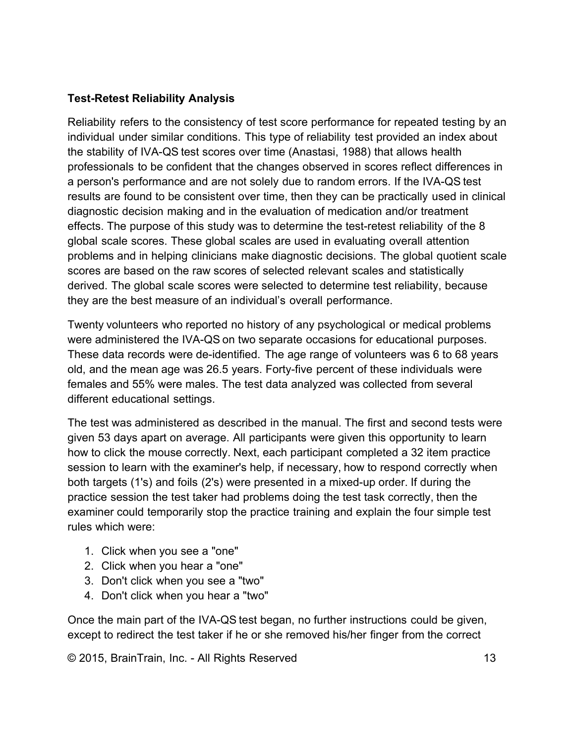### **Test-Retest Reliability Analysis**

Reliability refers to the consistency of test score performance for repeated testing by an individual under similar conditions. This type of reliability test provided an index about the stability of IVA-QS test scores over time (Anastasi, 1988) that allows health professionals to be confident that the changes observed in scores reflect differences in a person's performance and are not solely due to random errors. If the IVA-QS test results are found to be consistent over time, then they can be practically used in clinical diagnostic decision making and in the evaluation of medication and/or treatment effects. The purpose of this study was to determine the test-retest reliability of the 8 global scale scores. These global scales are used in evaluating overall attention problems and in helping clinicians make diagnostic decisions. The global quotient scale scores are based on the raw scores of selected relevant scales and statistically derived. The global scale scores were selected to determine test reliability, because they are the best measure of an individual's overall performance.

Twenty volunteers who reported no history of any psychological or medical problems were administered the IVA-QS on two separate occasions for educational purposes. These data records were de-identified. The age range of volunteers was 6 to 68 years old, and the mean age was 26.5 years. Forty-five percent of these individuals were females and 55% were males. The test data analyzed was collected from several different educational settings.

The test was administered as described in the manual. The first and second tests were given 53 days apart on average. All participants were given this opportunity to learn how to click the mouse correctly. Next, each participant completed a 32 item practice session to learn with the examiner's help, if necessary, how to respond correctly when both targets (1's) and foils (2's) were presented in a mixed-up order. If during the practice session the test taker had problems doing the test task correctly, then the examiner could temporarily stop the practice training and explain the four simple test rules which were:

- 1. Click when you see a "one"
- 2. Click when you hear a "one"
- 3. Don't click when you see a "two"
- 4. Don't click when you hear a "two"

Once the main part of the IVA-QS test began, no further instructions could be given, except to redirect the test taker if he or she removed his/her finger from the correct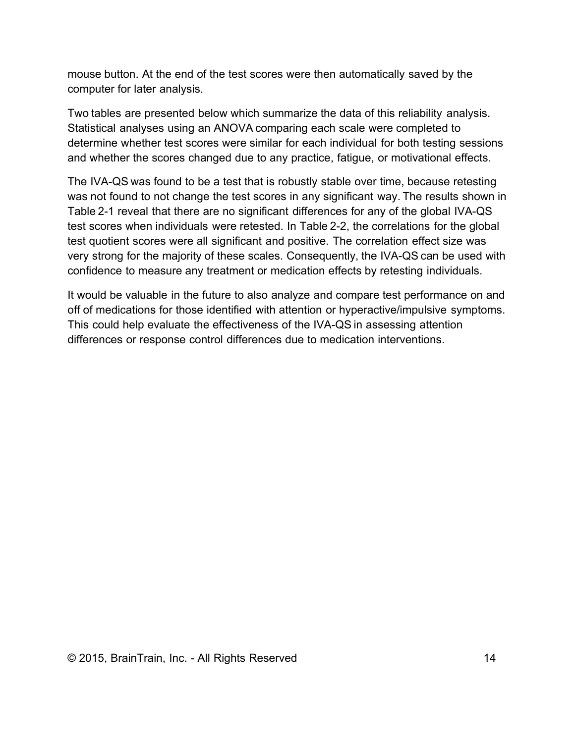mouse button. At the end of the test scores were then automatically saved by the computer for later analysis.

Two tables are presented below which summarize the data of this reliability analysis. Statistical analyses using an ANOVA comparing each scale were completed to determine whether test scores were similar for each individual for both testing sessions and whether the scores changed due to any practice, fatigue, or motivational effects.

The IVA-QS was found to be a test that is robustly stable over time, because retesting was not found to not change the test scores in any significant way. The results shown in Table 2-1 reveal that there are no significant differences for any of the global IVA-QS test scores when individuals were retested. In Table 2-2, the correlations for the global test quotient scores were all significant and positive. The correlation effect size was very strong for the majority of these scales. Consequently, the IVA-QS can be used with confidence to measure any treatment or medication effects by retesting individuals.

It would be valuable in the future to also analyze and compare test performance on and off of medications for those identified with attention or hyperactive/impulsive symptoms. This could help evaluate the effectiveness of the IVA-QS in assessing attention differences or response control differences due to medication interventions.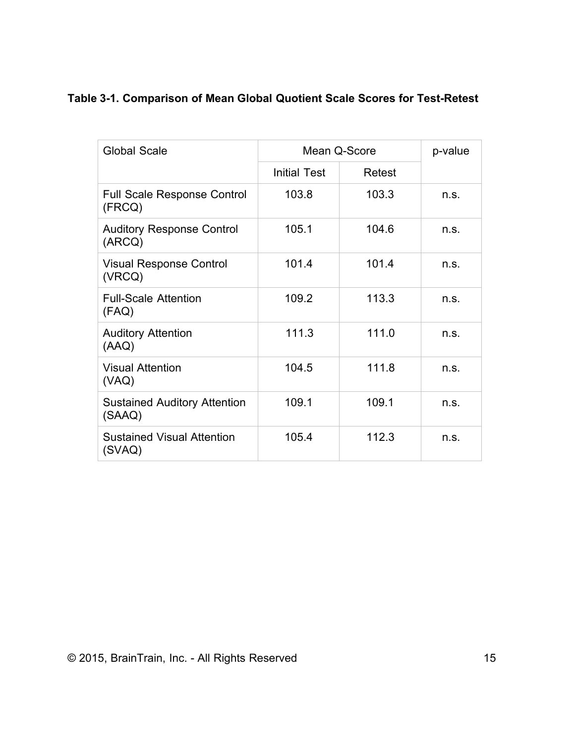|  |  | Table 3-1. Comparison of Mean Global Quotient Scale Scores for Test-Retest |  |
|--|--|----------------------------------------------------------------------------|--|
|--|--|----------------------------------------------------------------------------|--|

| <b>Global Scale</b>                           |                     | Mean Q-Score | p-value |
|-----------------------------------------------|---------------------|--------------|---------|
|                                               | <b>Initial Test</b> | Retest       |         |
| <b>Full Scale Response Control</b><br>(FRCQ)  | 103.8               | 103.3        | n.s.    |
| <b>Auditory Response Control</b><br>(ARCQ)    | 105.1               | 104.6        | n.s.    |
| <b>Visual Response Control</b><br>(VRCQ)      | 101.4               | 101.4        | n.s.    |
| <b>Full-Scale Attention</b><br>(FAQ)          | 109.2               | 113.3        | n.s.    |
| <b>Auditory Attention</b><br>(AAQ)            | 111.3               | 111.0        | n.s.    |
| <b>Visual Attention</b><br>(VAQ)              | 104.5               | 111.8        | n.s.    |
| <b>Sustained Auditory Attention</b><br>(SAAQ) | 109.1               | 109.1        | n.s.    |
| <b>Sustained Visual Attention</b><br>(SVAQ)   | 105.4               | 112.3        | n.s.    |